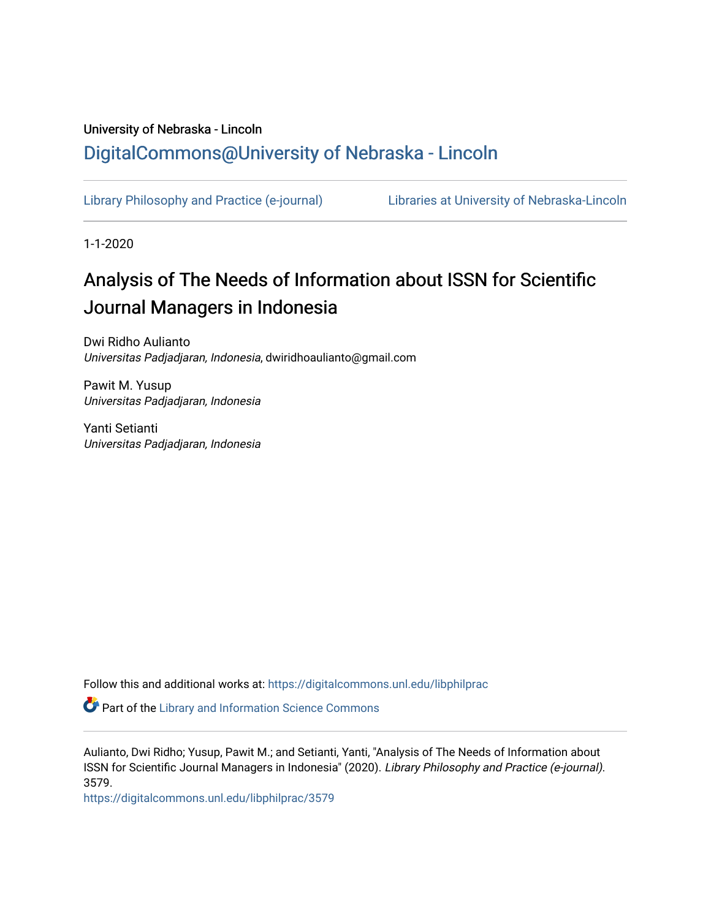## University of Nebraska - Lincoln [DigitalCommons@University of Nebraska - Lincoln](https://digitalcommons.unl.edu/)

[Library Philosophy and Practice \(e-journal\)](https://digitalcommons.unl.edu/libphilprac) [Libraries at University of Nebraska-Lincoln](https://digitalcommons.unl.edu/libraries) 

1-1-2020

# Analysis of The Needs of Information about ISSN for Scientific Journal Managers in Indonesia

Dwi Ridho Aulianto Universitas Padjadjaran, Indonesia, dwiridhoaulianto@gmail.com

Pawit M. Yusup Universitas Padjadjaran, Indonesia

Yanti Setianti Universitas Padjadjaran, Indonesia

Follow this and additional works at: [https://digitalcommons.unl.edu/libphilprac](https://digitalcommons.unl.edu/libphilprac?utm_source=digitalcommons.unl.edu%2Flibphilprac%2F3579&utm_medium=PDF&utm_campaign=PDFCoverPages) 

**Part of the Library and Information Science Commons** 

Aulianto, Dwi Ridho; Yusup, Pawit M.; and Setianti, Yanti, "Analysis of The Needs of Information about ISSN for Scientific Journal Managers in Indonesia" (2020). Library Philosophy and Practice (e-journal). 3579.

[https://digitalcommons.unl.edu/libphilprac/3579](https://digitalcommons.unl.edu/libphilprac/3579?utm_source=digitalcommons.unl.edu%2Flibphilprac%2F3579&utm_medium=PDF&utm_campaign=PDFCoverPages)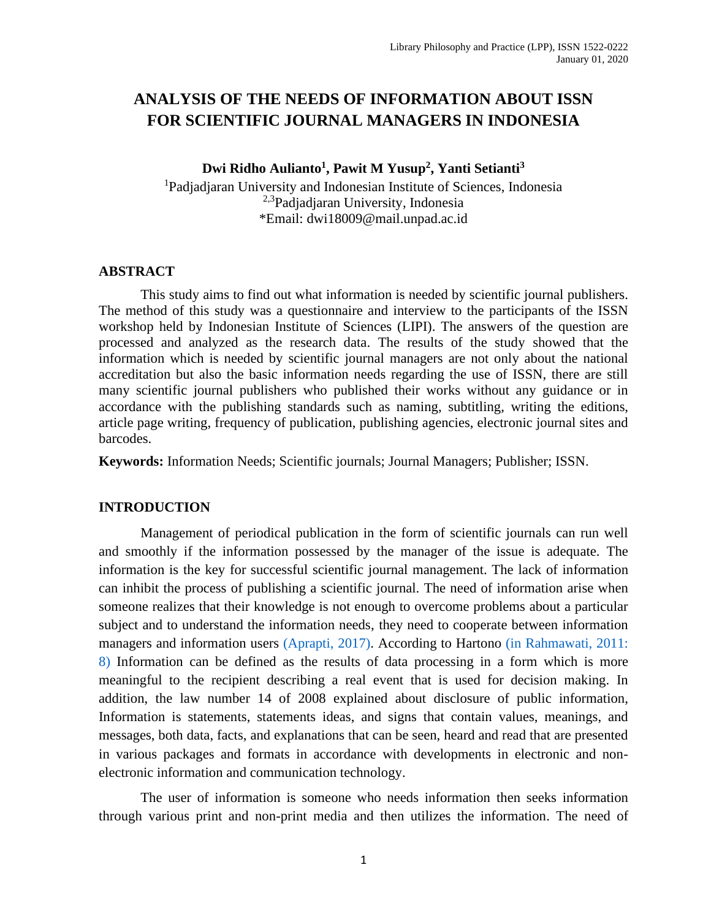### **ANALYSIS OF THE NEEDS OF INFORMATION ABOUT ISSN FOR SCIENTIFIC JOURNAL MANAGERS IN INDONESIA**

**Dwi Ridho Aulianto<sup>1</sup> , Pawit M Yusup<sup>2</sup> , Yanti Setianti<sup>3</sup>**

<sup>1</sup>Padjadjaran University and Indonesian Institute of Sciences, Indonesia 2,3Padjadjaran University, Indonesia \*Email: [dwi18009@mail.unpad.ac.id](mailto:dwi18009@mail.unpad.ac.id)

#### **ABSTRACT**

This study aims to find out what information is needed by scientific journal publishers. The method of this study was a questionnaire and interview to the participants of the ISSN workshop held by Indonesian Institute of Sciences (LIPI). The answers of the question are processed and analyzed as the research data. The results of the study showed that the information which is needed by scientific journal managers are not only about the national accreditation but also the basic information needs regarding the use of ISSN, there are still many scientific journal publishers who published their works without any guidance or in accordance with the publishing standards such as naming, subtitling, writing the editions, article page writing, frequency of publication, publishing agencies, electronic journal sites and barcodes.

**Keywords:** Information Needs; Scientific journals; Journal Managers; Publisher; ISSN.

#### **INTRODUCTION**

Management of periodical publication in the form of scientific journals can run well and smoothly if the information possessed by the manager of the issue is adequate. The information is the key for successful scientific journal management. The lack of information can inhibit the process of publishing a scientific journal. The need of information arise when someone realizes that their knowledge is not enough to overcome problems about a particular subject and to understand the information needs, they need to cooperate between information managers and information users [\(Aprapti,](#page-9-0) 2017). According to Hartono [\(in Rahmawati, 2011:](#page-10-0)  [8\)](#page-10-0) Information can be defined as the results of data processing in a form which is more meaningful to the recipient describing a real event that is used for decision making. In addition, the law number 14 of 2008 explained about disclosure of public information, Information is statements, statements ideas, and signs that contain values, meanings, and messages, both data, facts, and explanations that can be seen, heard and read that are presented in various packages and formats in accordance with developments in electronic and nonelectronic information and communication technology.

The user of information is someone who needs information then seeks information through various print and non-print media and then utilizes the information. The need of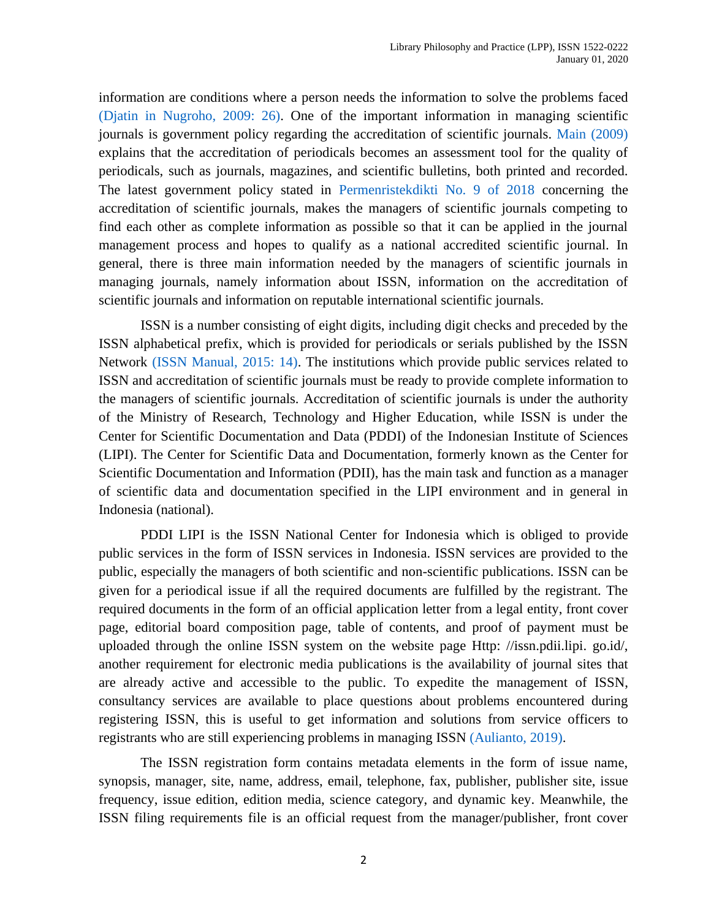information are conditions where a person needs the information to solve the problems faced [\(Djatin in Nugroho, 2009: 26\).](#page-10-1) One of the important information in managing scientific journals is government policy regarding the accreditation of scientific journals. [Main \(2009\)](#page-10-2) explains that the accreditation of periodicals becomes an assessment tool for the quality of periodicals, such as journals, magazines, and scientific bulletins, both printed and recorded. The latest government policy stated in [Permenristekdikti No. 9 of 2018](#page-9-1) concerning the accreditation of scientific journals, makes the managers of scientific journals competing to find each other as complete information as possible so that it can be applied in the journal management process and hopes to qualify as a national accredited scientific journal. In general, there is three main information needed by the managers of scientific journals in managing journals, namely information about ISSN, information on the accreditation of scientific journals and information on reputable international scientific journals.

ISSN is a number consisting of eight digits, including digit checks and preceded by the ISSN alphabetical prefix, which is provided for periodicals or serials published by the ISSN Network [\(ISSN Manual, 2015: 14\).](#page-10-3) The institutions which provide public services related to ISSN and accreditation of scientific journals must be ready to provide complete information to the managers of scientific journals. Accreditation of scientific journals is under the authority of the Ministry of Research, Technology and Higher Education, while ISSN is under the Center for Scientific Documentation and Data (PDDI) of the Indonesian Institute of Sciences (LIPI). The Center for Scientific Data and Documentation, formerly known as the Center for Scientific Documentation and Information (PDII), has the main task and function as a manager of scientific data and documentation specified in the LIPI environment and in general in Indonesia (national).

PDDI LIPI is the ISSN National Center for Indonesia which is obliged to provide public services in the form of ISSN services in Indonesia. ISSN services are provided to the public, especially the managers of both scientific and non-scientific publications. ISSN can be given for a periodical issue if all the required documents are fulfilled by the registrant. The required documents in the form of an official application letter from a legal entity, front cover page, editorial board composition page, table of contents, and proof of payment must be uploaded through the online ISSN system on the website page Http: //issn.pdii.lipi. go.id/, another requirement for electronic media publications is the availability of journal sites that are already active and accessible to the public. To expedite the management of ISSN, consultancy services are available to place questions about problems encountered during registering ISSN, this is useful to get information and solutions from service officers to registrants who are still experiencing problems in managing ISSN [\(Aulianto, 2019\).](#page-9-2)

The ISSN registration form contains metadata elements in the form of issue name, synopsis, manager, site, name, address, email, telephone, fax, publisher, publisher site, issue frequency, issue edition, edition media, science category, and dynamic key. Meanwhile, the ISSN filing requirements file is an official request from the manager/publisher, front cover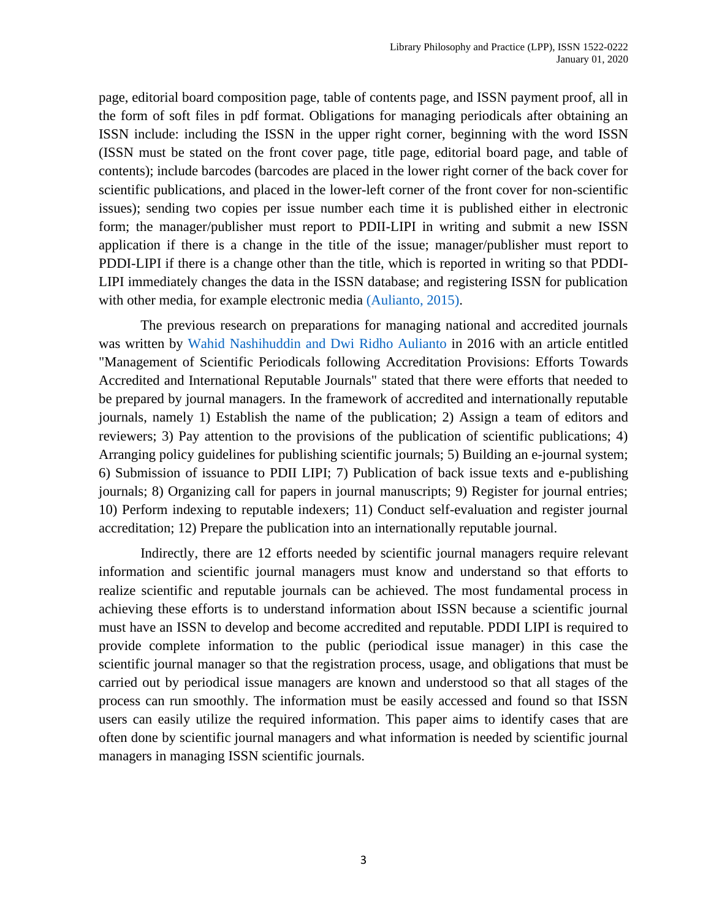page, editorial board composition page, table of contents page, and ISSN payment proof, all in the form of soft files in pdf format. Obligations for managing periodicals after obtaining an ISSN include: including the ISSN in the upper right corner, beginning with the word ISSN (ISSN must be stated on the front cover page, title page, editorial board page, and table of contents); include barcodes (barcodes are placed in the lower right corner of the back cover for scientific publications, and placed in the lower-left corner of the front cover for non-scientific issues); sending two copies per issue number each time it is published either in electronic form; the manager/publisher must report to PDII-LIPI in writing and submit a new ISSN application if there is a change in the title of the issue; manager/publisher must report to PDDI-LIPI if there is a change other than the title, which is reported in writing so that PDDI-LIPI immediately changes the data in the ISSN database; and registering ISSN for publication with other media, for example electronic media [\(Aulianto, 2015\).](#page-9-3)

The previous research on preparations for managing national and accredited journals was written by [Wahid Nashihuddin and Dwi Ridho Aulianto](#page-10-4) in 2016 with an article entitled "Management of Scientific Periodicals following Accreditation Provisions: Efforts Towards Accredited and International Reputable Journals" stated that there were efforts that needed to be prepared by journal managers. In the framework of accredited and internationally reputable journals, namely 1) Establish the name of the publication; 2) Assign a team of editors and reviewers; 3) Pay attention to the provisions of the publication of scientific publications; 4) Arranging policy guidelines for publishing scientific journals; 5) Building an e-journal system; 6) Submission of issuance to PDII LIPI; 7) Publication of back issue texts and e-publishing journals; 8) Organizing call for papers in journal manuscripts; 9) Register for journal entries; 10) Perform indexing to reputable indexers; 11) Conduct self-evaluation and register journal accreditation; 12) Prepare the publication into an internationally reputable journal.

Indirectly, there are 12 efforts needed by scientific journal managers require relevant information and scientific journal managers must know and understand so that efforts to realize scientific and reputable journals can be achieved. The most fundamental process in achieving these efforts is to understand information about ISSN because a scientific journal must have an ISSN to develop and become accredited and reputable. PDDI LIPI is required to provide complete information to the public (periodical issue manager) in this case the scientific journal manager so that the registration process, usage, and obligations that must be carried out by periodical issue managers are known and understood so that all stages of the process can run smoothly. The information must be easily accessed and found so that ISSN users can easily utilize the required information. This paper aims to identify cases that are often done by scientific journal managers and what information is needed by scientific journal managers in managing ISSN scientific journals.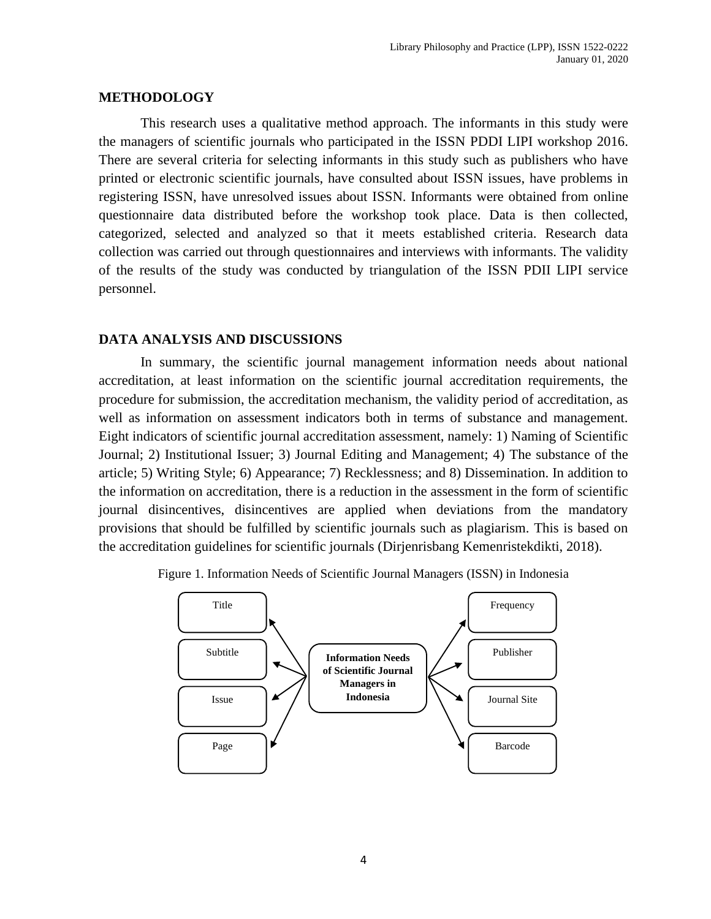#### **METHODOLOGY**

This research uses a qualitative method approach. The informants in this study were the managers of scientific journals who participated in the ISSN PDDI LIPI workshop 2016. There are several criteria for selecting informants in this study such as publishers who have printed or electronic scientific journals, have consulted about ISSN issues, have problems in registering ISSN, have unresolved issues about ISSN. Informants were obtained from online questionnaire data distributed before the workshop took place. Data is then collected, categorized, selected and analyzed so that it meets established criteria. Research data collection was carried out through questionnaires and interviews with informants. The validity of the results of the study was conducted by triangulation of the ISSN PDII LIPI service personnel.

#### **DATA ANALYSIS AND DISCUSSIONS**

In summary, the scientific journal management information needs about national accreditation, at least information on the scientific journal accreditation requirements, the procedure for submission, the accreditation mechanism, the validity period of accreditation, as well as information on assessment indicators both in terms of substance and management. Eight indicators of scientific journal accreditation assessment, namely: 1) Naming of Scientific Journal; 2) Institutional Issuer; 3) Journal Editing and Management; 4) The substance of the article; 5) Writing Style; 6) Appearance; 7) Recklessness; and 8) Dissemination. In addition to the information on accreditation, there is a reduction in the assessment in the form of scientific journal disincentives, disincentives are applied when deviations from the mandatory provisions that should be fulfilled by scientific journals such as plagiarism. This is based on the accreditation guidelines for scientific journals (Dirjenrisbang Kemenristekdikti, 2018).



Figure 1. Information Needs of Scientific Journal Managers (ISSN) in Indonesia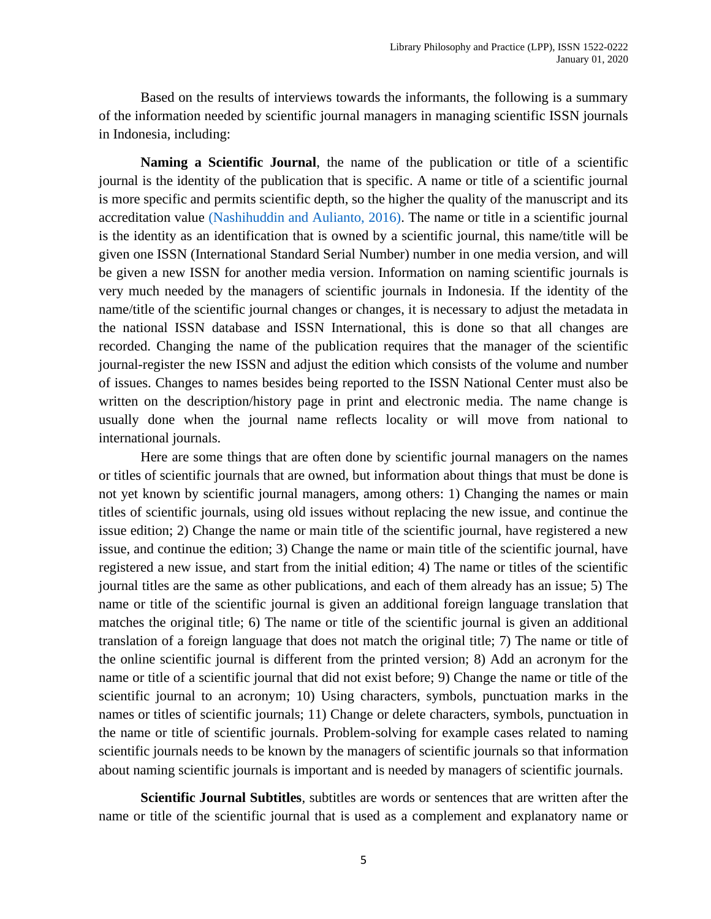Based on the results of interviews towards the informants, the following is a summary of the information needed by scientific journal managers in managing scientific ISSN journals in Indonesia, including:

**Naming a Scientific Journal**, the name of the publication or title of a scientific journal is the identity of the publication that is specific. A name or title of a scientific journal is more specific and permits scientific depth, so the higher the quality of the manuscript and its accreditation value [\(Nashihuddin and Aulianto, 2016\).](#page-10-4) The name or title in a scientific journal is the identity as an identification that is owned by a scientific journal, this name/title will be given one ISSN (International Standard Serial Number) number in one media version, and will be given a new ISSN for another media version. Information on naming scientific journals is very much needed by the managers of scientific journals in Indonesia. If the identity of the name/title of the scientific journal changes or changes, it is necessary to adjust the metadata in the national ISSN database and ISSN International, this is done so that all changes are recorded. Changing the name of the publication requires that the manager of the scientific journal-register the new ISSN and adjust the edition which consists of the volume and number of issues. Changes to names besides being reported to the ISSN National Center must also be written on the description/history page in print and electronic media. The name change is usually done when the journal name reflects locality or will move from national to international journals.

Here are some things that are often done by scientific journal managers on the names or titles of scientific journals that are owned, but information about things that must be done is not yet known by scientific journal managers, among others: 1) Changing the names or main titles of scientific journals, using old issues without replacing the new issue, and continue the issue edition; 2) Change the name or main title of the scientific journal, have registered a new issue, and continue the edition; 3) Change the name or main title of the scientific journal, have registered a new issue, and start from the initial edition; 4) The name or titles of the scientific journal titles are the same as other publications, and each of them already has an issue; 5) The name or title of the scientific journal is given an additional foreign language translation that matches the original title; 6) The name or title of the scientific journal is given an additional translation of a foreign language that does not match the original title; 7) The name or title of the online scientific journal is different from the printed version; 8) Add an acronym for the name or title of a scientific journal that did not exist before; 9) Change the name or title of the scientific journal to an acronym; 10) Using characters, symbols, punctuation marks in the names or titles of scientific journals; 11) Change or delete characters, symbols, punctuation in the name or title of scientific journals. Problem-solving for example cases related to naming scientific journals needs to be known by the managers of scientific journals so that information about naming scientific journals is important and is needed by managers of scientific journals.

**Scientific Journal Subtitles**, subtitles are words or sentences that are written after the name or title of the scientific journal that is used as a complement and explanatory name or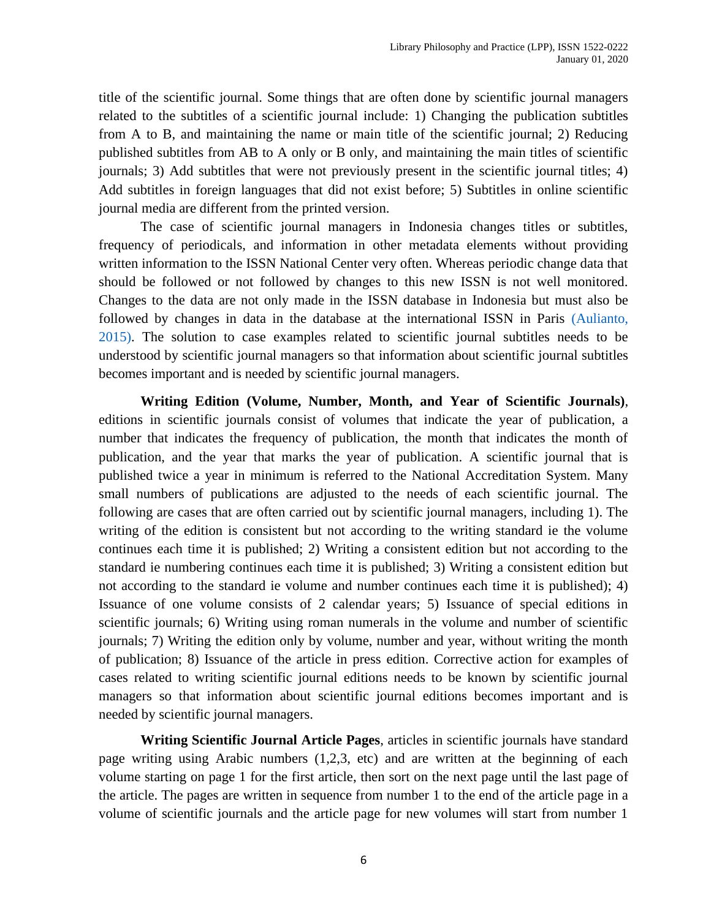title of the scientific journal. Some things that are often done by scientific journal managers related to the subtitles of a scientific journal include: 1) Changing the publication subtitles from A to B, and maintaining the name or main title of the scientific journal; 2) Reducing published subtitles from AB to A only or B only, and maintaining the main titles of scientific journals; 3) Add subtitles that were not previously present in the scientific journal titles; 4) Add subtitles in foreign languages that did not exist before; 5) Subtitles in online scientific journal media are different from the printed version.

The case of scientific journal managers in Indonesia changes titles or subtitles, frequency of periodicals, and information in other metadata elements without providing written information to the ISSN National Center very often. Whereas periodic change data that should be followed or not followed by changes to this new ISSN is not well monitored. Changes to the data are not only made in the ISSN database in Indonesia but must also be followed by changes in data in the database at the international ISSN in Paris [\(Aulianto,](#page-9-3)  [2015\).](#page-9-3) The solution to case examples related to scientific journal subtitles needs to be understood by scientific journal managers so that information about scientific journal subtitles becomes important and is needed by scientific journal managers.

**Writing Edition (Volume, Number, Month, and Year of Scientific Journals)**, editions in scientific journals consist of volumes that indicate the year of publication, a number that indicates the frequency of publication, the month that indicates the month of publication, and the year that marks the year of publication. A scientific journal that is published twice a year in minimum is referred to the National Accreditation System. Many small numbers of publications are adjusted to the needs of each scientific journal. The following are cases that are often carried out by scientific journal managers, including 1). The writing of the edition is consistent but not according to the writing standard ie the volume continues each time it is published; 2) Writing a consistent edition but not according to the standard ie numbering continues each time it is published; 3) Writing a consistent edition but not according to the standard ie volume and number continues each time it is published); 4) Issuance of one volume consists of 2 calendar years; 5) Issuance of special editions in scientific journals; 6) Writing using roman numerals in the volume and number of scientific journals; 7) Writing the edition only by volume, number and year, without writing the month of publication; 8) Issuance of the article in press edition. Corrective action for examples of cases related to writing scientific journal editions needs to be known by scientific journal managers so that information about scientific journal editions becomes important and is needed by scientific journal managers.

**Writing Scientific Journal Article Pages**, articles in scientific journals have standard page writing using Arabic numbers (1,2,3, etc) and are written at the beginning of each volume starting on page 1 for the first article, then sort on the next page until the last page of the article. The pages are written in sequence from number 1 to the end of the article page in a volume of scientific journals and the article page for new volumes will start from number 1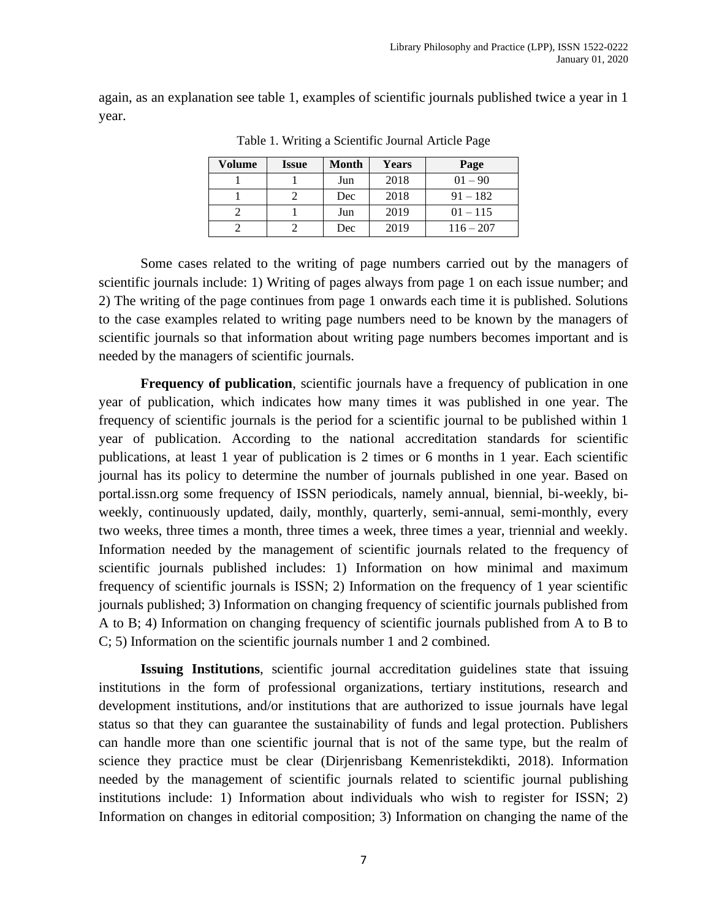again, as an explanation see table 1, examples of scientific journals published twice a year in 1 year.

| Volume | <b>Issue</b> | Month | <b>Years</b> | Page        |
|--------|--------------|-------|--------------|-------------|
|        |              | Jun   | 2018         | $01 - 90$   |
|        |              | Dec   | 2018         | $91 - 182$  |
|        |              | Jun   | 2019         | $01 - 115$  |
|        |              | Dec   | 2019         | $116 - 207$ |

Table 1. Writing a Scientific Journal Article Page

Some cases related to the writing of page numbers carried out by the managers of scientific journals include: 1) Writing of pages always from page 1 on each issue number; and 2) The writing of the page continues from page 1 onwards each time it is published. Solutions to the case examples related to writing page numbers need to be known by the managers of scientific journals so that information about writing page numbers becomes important and is needed by the managers of scientific journals.

**Frequency of publication**, scientific journals have a frequency of publication in one year of publication, which indicates how many times it was published in one year. The frequency of scientific journals is the period for a scientific journal to be published within 1 year of publication. According to the national accreditation standards for scientific publications, at least 1 year of publication is 2 times or 6 months in 1 year. Each scientific journal has its policy to determine the number of journals published in one year. Based on portal.issn.org some frequency of ISSN periodicals, namely annual, biennial, bi-weekly, biweekly, continuously updated, daily, monthly, quarterly, semi-annual, semi-monthly, every two weeks, three times a month, three times a week, three times a year, triennial and weekly. Information needed by the management of scientific journals related to the frequency of scientific journals published includes: 1) Information on how minimal and maximum frequency of scientific journals is ISSN; 2) Information on the frequency of 1 year scientific journals published; 3) Information on changing frequency of scientific journals published from A to B; 4) Information on changing frequency of scientific journals published from A to B to C; 5) Information on the scientific journals number 1 and 2 combined.

**Issuing Institutions**, scientific journal accreditation guidelines state that issuing institutions in the form of professional organizations, tertiary institutions, research and development institutions, and/or institutions that are authorized to issue journals have legal status so that they can guarantee the sustainability of funds and legal protection. Publishers can handle more than one scientific journal that is not of the same type, but the realm of science they practice must be clear (Dirjenrisbang Kemenristekdikti, 2018). Information needed by the management of scientific journals related to scientific journal publishing institutions include: 1) Information about individuals who wish to register for ISSN; 2) Information on changes in editorial composition; 3) Information on changing the name of the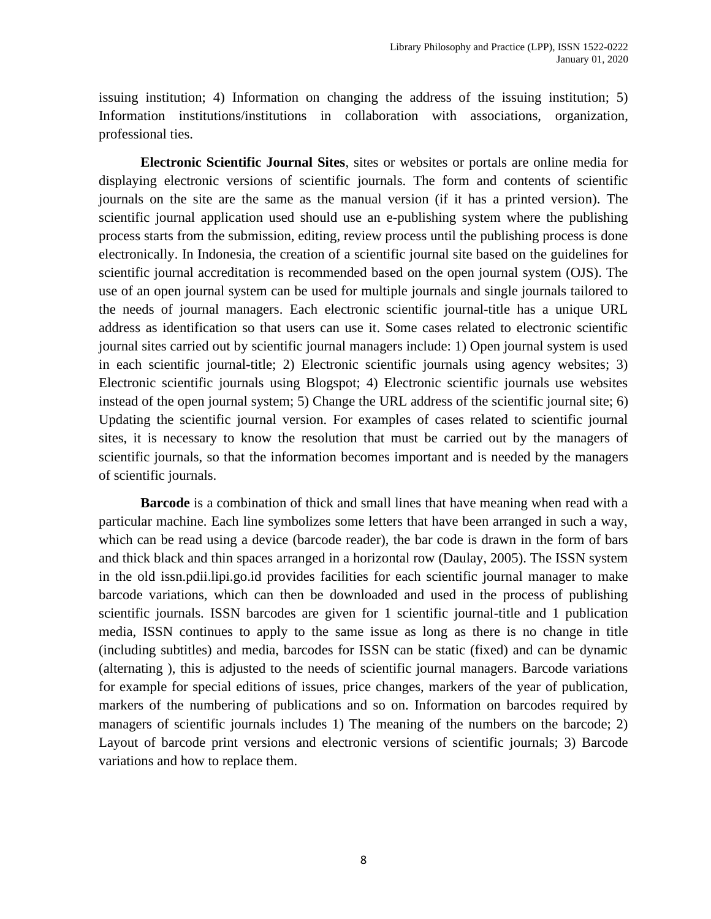issuing institution; 4) Information on changing the address of the issuing institution; 5) Information institutions/institutions in collaboration with associations, organization, professional ties.

**Electronic Scientific Journal Sites**, sites or websites or portals are online media for displaying electronic versions of scientific journals. The form and contents of scientific journals on the site are the same as the manual version (if it has a printed version). The scientific journal application used should use an e-publishing system where the publishing process starts from the submission, editing, review process until the publishing process is done electronically. In Indonesia, the creation of a scientific journal site based on the guidelines for scientific journal accreditation is recommended based on the open journal system (OJS). The use of an open journal system can be used for multiple journals and single journals tailored to the needs of journal managers. Each electronic scientific journal-title has a unique URL address as identification so that users can use it. Some cases related to electronic scientific journal sites carried out by scientific journal managers include: 1) Open journal system is used in each scientific journal-title; 2) Electronic scientific journals using agency websites; 3) Electronic scientific journals using Blogspot; 4) Electronic scientific journals use websites instead of the open journal system; 5) Change the URL address of the scientific journal site; 6) Updating the scientific journal version. For examples of cases related to scientific journal sites, it is necessary to know the resolution that must be carried out by the managers of scientific journals, so that the information becomes important and is needed by the managers of scientific journals.

**Barcode** is a combination of thick and small lines that have meaning when read with a particular machine. Each line symbolizes some letters that have been arranged in such a way, which can be read using a device (barcode reader), the bar code is drawn in the form of bars and thick black and thin spaces arranged in a horizontal row (Daulay, 2005). The ISSN system in the old issn.pdii.lipi.go.id provides facilities for each scientific journal manager to make barcode variations, which can then be downloaded and used in the process of publishing scientific journals. ISSN barcodes are given for 1 scientific journal-title and 1 publication media, ISSN continues to apply to the same issue as long as there is no change in title (including subtitles) and media, barcodes for ISSN can be static (fixed) and can be dynamic (alternating ), this is adjusted to the needs of scientific journal managers. Barcode variations for example for special editions of issues, price changes, markers of the year of publication, markers of the numbering of publications and so on. Information on barcodes required by managers of scientific journals includes 1) The meaning of the numbers on the barcode; 2) Layout of barcode print versions and electronic versions of scientific journals; 3) Barcode variations and how to replace them.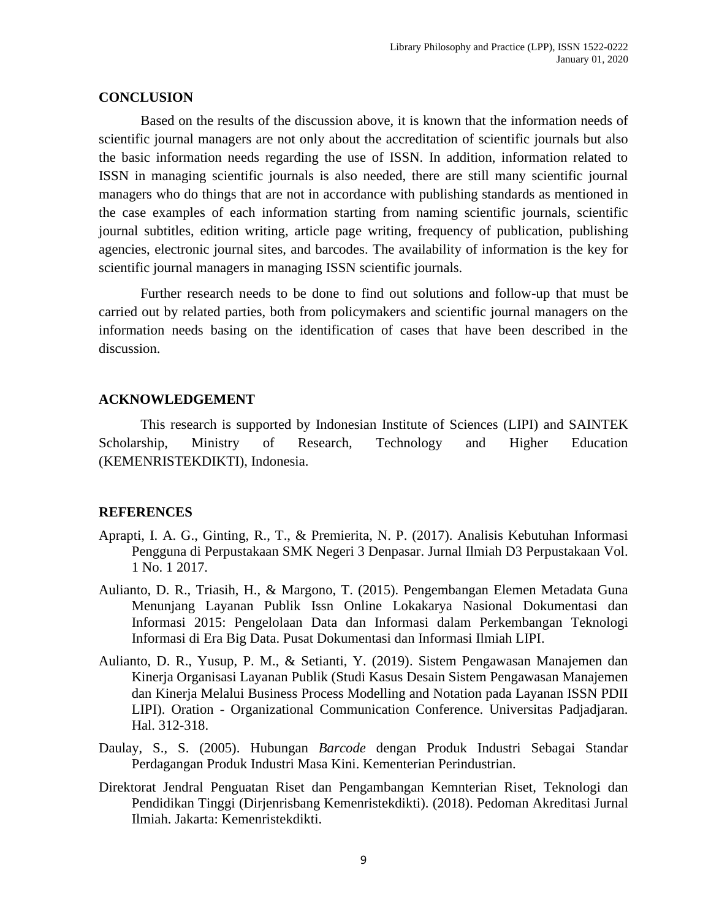#### **CONCLUSION**

Based on the results of the discussion above, it is known that the information needs of scientific journal managers are not only about the accreditation of scientific journals but also the basic information needs regarding the use of ISSN. In addition, information related to ISSN in managing scientific journals is also needed, there are still many scientific journal managers who do things that are not in accordance with publishing standards as mentioned in the case examples of each information starting from naming scientific journals, scientific journal subtitles, edition writing, article page writing, frequency of publication, publishing agencies, electronic journal sites, and barcodes. The availability of information is the key for scientific journal managers in managing ISSN scientific journals.

Further research needs to be done to find out solutions and follow-up that must be carried out by related parties, both from policymakers and scientific journal managers on the information needs basing on the identification of cases that have been described in the discussion.

#### **ACKNOWLEDGEMENT**

This research is supported by Indonesian Institute of Sciences (LIPI) and SAINTEK Scholarship, Ministry of Research, Technology and Higher Education (KEMENRISTEKDIKTI), Indonesia.

#### **REFERENCES**

- <span id="page-9-0"></span>Aprapti, I. A. G., Ginting, R., T., & Premierita, N. P. (2017). Analisis Kebutuhan Informasi Pengguna di Perpustakaan SMK Negeri 3 Denpasar. Jurnal Ilmiah D3 Perpustakaan Vol. 1 No. 1 2017.
- <span id="page-9-3"></span>Aulianto, D. R., Triasih, H., & Margono, T. (2015). Pengembangan Elemen Metadata Guna Menunjang Layanan Publik Issn Online Lokakarya Nasional Dokumentasi dan Informasi 2015: Pengelolaan Data dan Informasi dalam Perkembangan Teknologi Informasi di Era Big Data. Pusat Dokumentasi dan Informasi Ilmiah LIPI.
- <span id="page-9-2"></span>Aulianto, D. R., Yusup, P. M., & Setianti, Y. (2019). Sistem Pengawasan Manajemen dan Kinerja Organisasi Layanan Publik (Studi Kasus Desain Sistem Pengawasan Manajemen dan Kinerja Melalui Business Process Modelling and Notation pada Layanan ISSN PDII LIPI). Oration - Organizational Communication Conference. Universitas Padjadjaran. Hal. 312-318.
- Daulay, S., S. (2005). Hubungan *Barcode* dengan Produk Industri Sebagai Standar Perdagangan Produk Industri Masa Kini. Kementerian Perindustrian.
- <span id="page-9-1"></span>Direktorat Jendral Penguatan Riset dan Pengambangan Kemnterian Riset, Teknologi dan Pendidikan Tinggi (Dirjenrisbang Kemenristekdikti). (2018). Pedoman Akreditasi Jurnal Ilmiah. Jakarta: Kemenristekdikti.